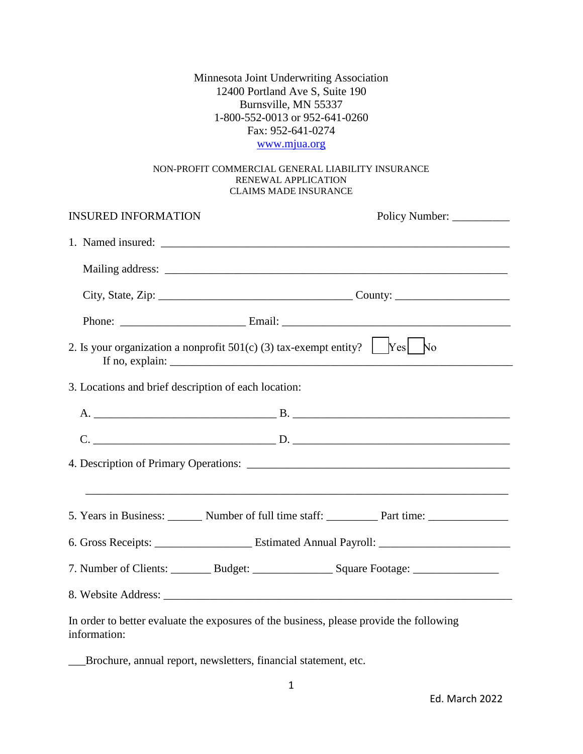Minnesota Joint Underwriting Association 12400 Portland Ave S, Suite 190 Burnsville, MN 55337 1-800-552-0013 or 952-641-0260 Fax: 952-641-0274

## [www.mjua.org](http://www.mjua.org/)

## NON-PROFIT COMMERCIAL GENERAL LIABILITY INSURANCE RENEWAL APPLICATION CLAIMS MADE INSURANCE

| <b>INSURED INFORMATION</b>                           | Policy Number:                                                                                   |
|------------------------------------------------------|--------------------------------------------------------------------------------------------------|
|                                                      |                                                                                                  |
|                                                      |                                                                                                  |
|                                                      |                                                                                                  |
|                                                      |                                                                                                  |
|                                                      | 2. Is your organization a nonprofit 501(c) (3) tax-exempt entity? $\Box$ Yes $\vert$ No          |
| 3. Locations and brief description of each location: |                                                                                                  |
|                                                      |                                                                                                  |
|                                                      |                                                                                                  |
|                                                      |                                                                                                  |
|                                                      |                                                                                                  |
|                                                      | 5. Years in Business: Number of full time staff: Next Read Part time: Number of full time staff: |
|                                                      |                                                                                                  |
|                                                      |                                                                                                  |
|                                                      |                                                                                                  |
|                                                      | In order to better evaluate the exposures of the business, please provide the following          |

information:

\_\_\_Brochure, annual report, newsletters, financial statement, etc.